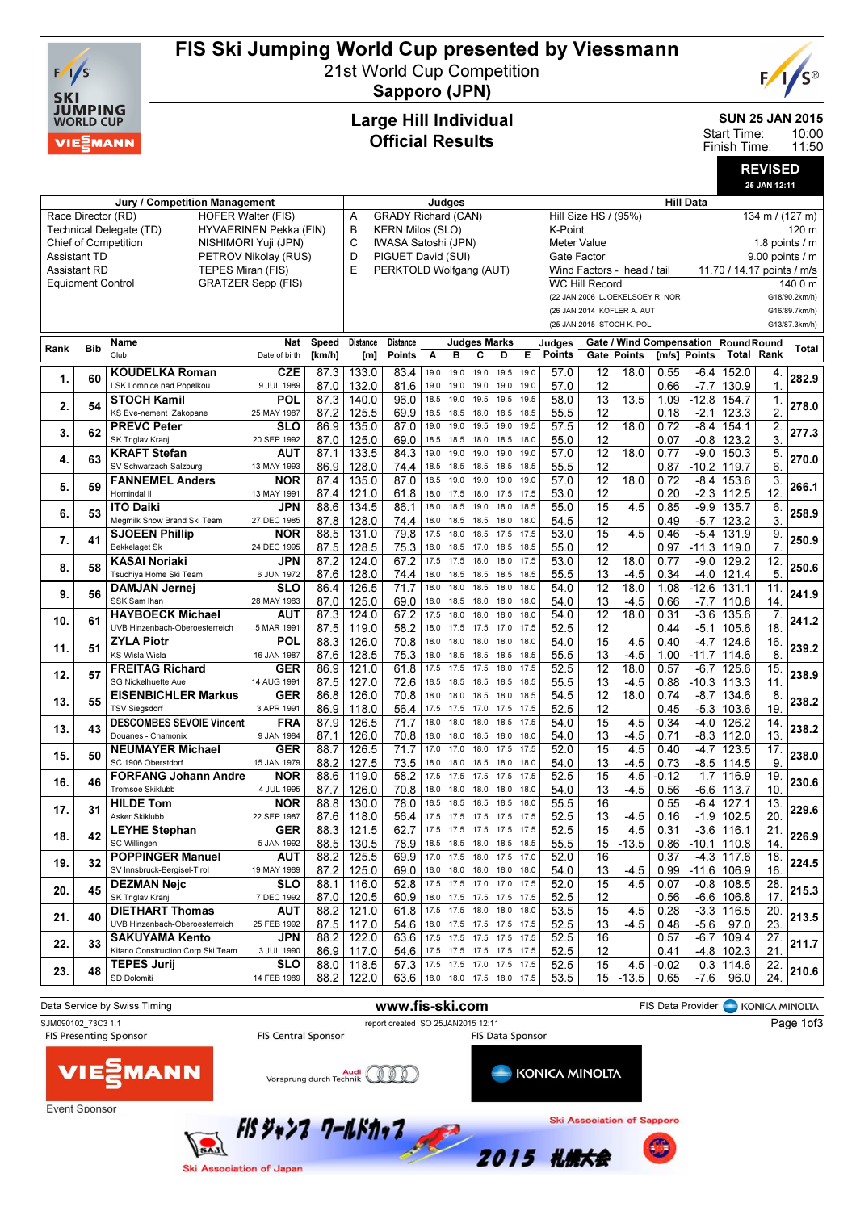

## FIS Ski Jumping World Cup presented by Viessmann

21st World Cup Competition



Sapporo (JPN)

#### Large Hill Individual Official Results

SUN 25 JAN 2015

10:00 11:50 Start Time: Finish Time:

> REVISED 25 JAN 12:11

|                                                     |                                                   | Jury / Competition Management      | Judges                    |              |                 |                                 |                                 |                          | <b>Hill Data</b>    |                |      |                                |                                         |                                 |         |                                            |                            |                   |               |
|-----------------------------------------------------|---------------------------------------------------|------------------------------------|---------------------------|--------------|-----------------|---------------------------------|---------------------------------|--------------------------|---------------------|----------------|------|--------------------------------|-----------------------------------------|---------------------------------|---------|--------------------------------------------|----------------------------|-------------------|---------------|
|                                                     | Race Director (RD)<br><b>HOFER Walter (FIS)</b>   |                                    |                           |              |                 |                                 | <b>GRADY Richard (CAN)</b><br>Α |                          |                     |                |      |                                | Hill Size HS / (95%)<br>134 m / (127 m) |                                 |         |                                            |                            |                   |               |
|                                                     | Technical Delegate (TD)<br>HYVAERINEN Pekka (FIN) |                                    |                           |              |                 |                                 | В<br><b>KERN Milos (SLO)</b>    |                          |                     |                |      |                                |                                         | K-Point<br>120 m                |         |                                            |                            |                   |               |
| <b>Chief of Competition</b><br>NISHIMORI Yuji (JPN) |                                                   |                                    |                           |              |                 | C<br>IWASA Satoshi (JPN)        |                                 |                          |                     |                |      |                                | Meter Value<br>1.8 points $\sqrt{}$ m   |                                 |         |                                            |                            |                   |               |
| <b>Assistant TD</b><br>PETROV Nikolay (RUS)         |                                                   |                                    |                           |              |                 | D<br>PIGUET David (SUI)         |                                 |                          |                     |                |      | Gate Factor<br>9.00 points / m |                                         |                                 |         |                                            |                            |                   |               |
|                                                     | <b>Assistant RD</b>                               | TEPES Miran (FIS)                  |                           |              | E               | PERKTOLD Wolfgang (AUT)         |                                 |                          |                     |                |      |                                |                                         | Wind Factors - head / tail      |         |                                            | 11.70 / 14.17 points / m/s |                   |               |
|                                                     | <b>Equipment Control</b>                          |                                    | <b>GRATZER Sepp (FIS)</b> |              |                 |                                 |                                 |                          |                     |                |      |                                | <b>WC Hill Record</b>                   |                                 |         |                                            |                            |                   | 140.0 m       |
|                                                     |                                                   |                                    |                           |              |                 |                                 |                                 |                          |                     |                |      |                                |                                         | (22 JAN 2006 LJOEKELSOEY R. NOR |         |                                            |                            |                   | G18/90.2km/h) |
|                                                     |                                                   |                                    |                           |              |                 |                                 |                                 |                          |                     |                |      |                                |                                         | (26 JAN 2014 KOFLER A. AUT      |         |                                            |                            |                   | G16/89.7km/h) |
|                                                     |                                                   |                                    |                           |              |                 |                                 |                                 |                          |                     |                |      |                                |                                         |                                 |         |                                            |                            |                   |               |
|                                                     |                                                   |                                    |                           |              |                 |                                 |                                 |                          |                     |                |      |                                |                                         | (25 JAN 2015 STOCH K. POL       |         |                                            |                            |                   | G13/87.3km/h) |
| Rank                                                | <b>Bib</b>                                        | Name                               | <b>Nat</b>                | <b>Speed</b> | <b>Distance</b> | <b>Distance</b>                 |                                 |                          | <b>Judges Marks</b> |                |      | Judges                         |                                         |                                 |         | <b>Gate / Wind Compensation RoundRound</b> |                            |                   | Total         |
|                                                     |                                                   | Club                               | Date of birth             | [km/h]       | [m]             | <b>Points</b>                   | Α                               | в                        | С                   | D              | Е    | <b>Points</b>                  |                                         | Gate Points                     |         | [m/s] Points                               |                            | <b>Total Rank</b> |               |
|                                                     |                                                   | <b>KOUDELKA Roman</b>              | <b>CZE</b>                | 87.3         | 133.0           | 83.4                            | 19.0                            | 19.0                     | 19.0                | 19.5           | 19.0 | 57.0                           | 12                                      | 18.0                            | 0.55    | $-6.4$                                     | 152.0                      | 4.                |               |
| 1.                                                  | 60                                                | LSK Lomnice nad Popelkou           | 9 JUL 1989                | 87.0         | 132.0           | 81.6                            | 19.0                            | 19.0                     | 19.0                | 19.0           | 19.0 | 57.0                           | 12                                      |                                 | 0.66    | $-7.7$                                     | 130.9                      | $\mathbf 1$       | 282.9         |
|                                                     |                                                   | <b>STOCH Kamil</b>                 | POL                       | 87.3         | 140.0           | 96.0                            | 18.5                            | 19.0                     | 19.5                | 19.5           | 19.5 | 58.0                           | $\overline{13}$                         | 13.5                            | 1.09    | $-12.8$                                    | 154.7                      | 1.                |               |
| 2.                                                  | 54                                                | KS Eve-nement Zakopane             | 25 MAY 1987               | 87.2         | 125.5           | 69.9                            |                                 | 18.5 18.5                | 18.0                | 18.5           | 18.5 | 55.5                           | 12                                      |                                 | 0.18    | $-2.1$                                     | 123.3                      | $\overline{2}$    | 278.0         |
|                                                     |                                                   | <b>PREVC Peter</b>                 | SLO                       | 86.9         | 135.0           | 87.0                            | 19.0                            | 19.0                     | 19.5                | 19.0           | 19.5 | 57.5                           | $\overline{12}$                         | 18.0                            | 0.72    | $-8.4$                                     | 154.1                      | 2.                |               |
| 3.                                                  | 62                                                | SK Triglav Kranj                   | 20 SEP 1992               |              |                 |                                 |                                 |                          |                     |                |      |                                |                                         |                                 |         |                                            |                            |                   | 277.3         |
|                                                     |                                                   |                                    |                           | 87.0         | 125.0           | 69.0                            |                                 | 18.5 18.5                | 18.0 18.5           |                | 18.0 | 55.0                           | 12                                      |                                 | 0.07    | -0.8                                       | 123.2                      | 3.                |               |
| 4.                                                  | 63                                                | <b>KRAFT Stefan</b>                | <b>AUT</b>                | 87.1         | 133.5           | 84.3                            | 19.0                            | 19.0                     | 19.0                | 19.0           | 19.0 | 57.0                           | $\overline{12}$                         | 18.0                            | 0.77    | $-9.0$                                     | 150.3                      | 5.                | 270.0         |
|                                                     |                                                   | SV Schwarzach-Salzburg             | 13 MAY 1993               | 86.9         | 128.0           | 74.4                            | 18.5                            | 18.5                     | 18.5 18.5           |                | 18.5 | 55.5                           | 12                                      |                                 | 0.87    | $-10.2$ 119.7                              |                            | 6.                |               |
| 5.                                                  | 59                                                | <b>FANNEMEL Anders</b>             | <b>NOR</b>                | 87.4         | 135.0           | 87.0                            | 18.5                            | 19.0                     | 19.0                | 19.0           | 19.0 | 57.0                           | $\overline{12}$                         | 18.0                            | 0.72    | $-8.4$                                     | 153.6                      | 3.                | 266.1         |
|                                                     |                                                   | Hornindal II                       | 13 MAY 1991               | 87.4         | 121.0           | 61.8                            | 18.0                            | 17.5                     | 18.0 17.5           |                | 17.5 | 53.0                           | 12                                      |                                 | 0.20    | $-2.3$                                     | 112.5                      | 12.               |               |
| 6.                                                  | 53                                                | <b>ITO Daiki</b>                   | <b>JPN</b>                | 88.6         | 134.5           | 86.1                            | 18.0                            | 18.5                     | 19.0                | 18.0           | 18.5 | 55.0                           | 15                                      | 4.5                             | 0.85    | $-9.9$                                     | 135.7                      | 6.                | 258.9         |
|                                                     |                                                   | Megmilk Snow Brand Ski Team        | 27 DEC 1985               | 87.8         | 128.0           | 74.4                            | 18.0                            | 18.5                     | 18.5                | 18.0           | 18.0 | 54.5                           | 12                                      |                                 | 0.49    | $-5.7$                                     | 123.2                      | 3.                |               |
| 7.                                                  | 41                                                | <b>SJOEEN Phillip</b>              | <b>NOR</b>                | 88.5         | 131.0           | 79.8                            | 17.5                            | 18.0                     | 18.5                | 17.5           | 17.5 | 53.0                           | 15                                      | 4.5                             | 0.46    | $-5.4$                                     | 131.9                      | 9.                | 250.9         |
|                                                     |                                                   | <b>Bekkelaget Sk</b>               | 24 DEC 1995               | 87.5         | 128.5           | 75.3                            | 18.0                            | 18.5                     | 17.0                | 18.5           | 18.5 | 55.0                           | 12                                      |                                 | 0.97    | $-11.3$                                    | 119.0                      | $\overline{7}$    |               |
|                                                     | 58                                                | <b>KASAI Noriaki</b>               | JPN                       | 87.2         | 124.0           | 67.2                            | 17.5                            | 17.5                     | 18.0                | 18.0           | 17.5 | 53.0                           | $\overline{12}$                         | 18.0                            | 0.77    | $-9.0$                                     | 129.2                      | $\overline{12}$   | 250.6         |
| 8.                                                  |                                                   | Tsuchiya Home Ski Team             | 6 JUN 1972                | 87.6         | 128.0           | 74.4                            | 18.0                            | 18.5                     | 18.5                | 18.5           | 18.5 | 55.5                           | 13                                      | $-4.5$                          | 0.34    | $-4.0$                                     | 121.4                      | 5.                |               |
|                                                     |                                                   | <b>DAMJAN Jernej</b>               | <b>SLO</b>                | 86.4         | 126.5           | 71.7                            | 18.0                            | 18.0                     | 18.5                | 18.0           | 18.0 | 54.0                           | $\overline{12}$                         | 18.0                            | 1.08    | $-12.6$                                    | 131.1                      | 11.               |               |
| 9.                                                  | 56                                                | SSK Sam Ihan                       | 28 MAY 1983               | 87.0         | 125.0           | 69.0                            | 18.0                            | 18.5                     | 18.0                | 18.0           | 18.0 | 54.0                           | 13                                      | $-4.5$                          | 0.66    | $-7.7$                                     | 110.8                      | 14.               | 241.9         |
|                                                     |                                                   | <b>HAYBOECK Michael</b>            | AUT                       | 87.3         | 124.0           | 67.2                            | 17.5                            | 18.0                     | 18.0                | 18.0           | 18.0 | 54.0                           | $\overline{12}$                         | 18.0                            | 0.31    | $-3.6$                                     | 135.6                      | 7.                |               |
| 10.                                                 | 61                                                | UVB Hinzenbach-Oberoesterreich     | 5 MAR 1991                | 87.5         | 119.0           | 58.2                            | 18.0                            | 17.5                     | 17.5                | 17.0           | 17.5 | 52.5                           | 12                                      |                                 | 0.44    | $-5.1$                                     | 105.6                      | 18.               | 241.2         |
|                                                     |                                                   | <b>ZYLA Piotr</b>                  | POL                       | 88.3         | 126.0           | 70.8                            | 18.0                            | 18.0                     | 18.0                | 18.0           | 18.0 | 54.0                           | $\overline{15}$                         | 4.5                             | 0.40    | $-4.7$                                     | 124.6                      | 16.               |               |
| 11.                                                 | 51                                                | KS Wisla Wisla                     | 16 JAN 1987               | 87.6         | 128.5           | 75.3                            |                                 | 18.0 18.5                |                     | 18.5 18.5 18.5 |      | 55.5                           | 13                                      | $-4.5$                          | 1.00    | $-11.7$   114.6                            |                            | 8                 | 239.2         |
|                                                     |                                                   | <b>FREITAG Richard</b>             | <b>GER</b>                | 86.9         | 121.0           | 61.8                            | 17.5                            | 17.5                     | 17.5                | 18.0           | 17.5 | 52.5                           | $\overline{12}$                         | 18.0                            | 0.57    | $-6.7$                                     | 125.6                      | 15.               |               |
| 12.                                                 | 57                                                | <b>SG Nickelhuette Aue</b>         | 14 AUG 1991               | 87.5         | 127.0           | 72.6                            | 18.5                            | 18.5                     | 18.5                | 18.5           | 18.5 | 55.5                           | 13                                      | $-4.5$                          | 0.88    |                                            | $-10.3$ 113.3              | 11                | 238.9         |
|                                                     |                                                   | <b>EISENBICHLER Markus</b>         | <b>GER</b>                | 86.8         | 126.0           | 70.8                            | 18.0                            | 18.0                     | 18.5                | 18.0           | 18.5 | 54.5                           | $\overline{12}$                         | 18.0                            | 0.74    | $-8.7$                                     | 134.6                      | 8.                |               |
| 13.                                                 | 55                                                | <b>TSV Siegsdorf</b>               | 3 APR 1991                | 86.9         | 118.0           | 56.4                            |                                 | 17.5 17.5                | 17.0                | 17.5           | 17.5 | 52.5                           | 12                                      |                                 | 0.45    | $-5.3$                                     | 103.6                      | 19                | 238.2         |
|                                                     |                                                   | <b>DESCOMBES SEVOIE Vincent</b>    | <b>FRA</b>                | 87.9         | 126.5           | 71.7                            | 18.0                            | 18.0                     | 18.0                | 18.5           | 17.5 | 54.0                           | 15                                      | 4.5                             | 0.34    | $-4.0$                                     | 126.2                      | 14.               |               |
| 13.                                                 | 43                                                | Douanes - Chamonix                 | 9 JAN 1984                |              |                 |                                 | 18.0                            | 18.0                     | 18.5                | 18.0           | 18.0 |                                | 13                                      |                                 |         | $-8.3$                                     |                            | 13.               | 238.2         |
|                                                     |                                                   |                                    |                           | 87.1         | 126.0           | 70.8                            |                                 | 17.0                     |                     | 17.5           |      | 54.0                           |                                         | -4.5                            | 0.71    |                                            | 112.0                      |                   |               |
| 15.                                                 | 50                                                | <b>NEUMAYER Michael</b>            | <b>GER</b>                | 88.7         | 126.5           | 71.7                            | 17.0                            |                          | 18.0                |                | 17.5 | 52.0                           | 15                                      | 4.5                             | 0.40    | $-4.7$                                     | 123.5                      | 17.               | 238.0         |
|                                                     |                                                   | SC 1906 Oberstdorf                 | 15 JAN 1979               | 88.2         | 127.5           | 73.5                            | 18.0                            | 18.0                     | 18.5                | 18.0           | 18.0 | 54.0                           | 13                                      | $-4.5$                          | 0.73    |                                            | $-8.5$ 114.5               | 9                 |               |
| 16.                                                 | 46                                                | <b>FORFANG Johann Andre</b>        | <b>NOR</b>                | 88.6         | 119.0           | 58.2                            | 17.5                            | 17.5                     | 17.5                | 17.5           | 17.5 | 52.5                           | 15                                      | 4.5                             | -0.12   | 1.7                                        | 116.9                      | 19.               | 230.6         |
|                                                     |                                                   | <b>Tromsoe Skiklubb</b>            | 4 JUL 1995                | 87.7         | 126.0           | 70.8                            | 18.0                            | 18.0                     | 18.0                | 18.0           | 18.0 | 54.0                           | 13                                      | $-4.5$                          | 0.56    |                                            | -6.6  113.7                | 10.               |               |
| 17.                                                 | 31                                                | <b>HILDE Tom</b>                   | <b>NOR</b>                | 88.8         | 130.0           | 78.0                            | 18.5                            | 18.5                     | 18.5                | 18.5           | 18.0 | 55.5                           | 16                                      |                                 | 0.55    | $-6.4$                                     | 127.1                      | 13.               | 229.6         |
|                                                     |                                                   | Asker Skiklubb                     | 22 SEP 1987               | 87.6         | 118.0           | 56.4                            | 17.5                            | 17.5                     | 17.5                | 17.5           | 17.5 | 52.5                           | 13                                      | -4.5                            | 0.16    | $-1.9$                                     | 102.5                      | 20.               |               |
| 18.                                                 | 42                                                | <b>LEYHE Stephan</b>               | <b>GER</b>                | 88.3         | 121.5           | 62.7                            |                                 | 17.5 17.5 17.5 17.5      |                     |                | 17.5 | 52.5                           | $\overline{15}$                         | 4.5                             | 0.31    | $-3.6$                                     | 116.1                      | $\overline{21}$   | 226.9         |
|                                                     |                                                   | SC Willingen                       | 5 JAN 1992                |              | 88.5   130.5    | 78.9                            |                                 | 18.5 18.5                | 18.0                | 18.5           | 18.5 | 55.5                           | 15                                      | $-13.5$                         | 0.86    | $-10.1$ 110.8                              |                            | 14.               |               |
| 19.                                                 | 32                                                | <b>POPPINGER Manuel</b>            | AUT                       | 88.2         | 125.5           | 69.9                            |                                 | 17.0 17.5 18.0 17.5 17.0 |                     |                |      | 52.0                           | 16                                      |                                 | 0.37    |                                            | $-4.3$ 117.6               | 18.               | 224.5         |
|                                                     |                                                   | SV Innsbruck-Bergisel-Tirol        | 19 MAY 1989               | 87.2         | 125.0           | 69.0                            |                                 | 18.0 18.0 18.0 18.0 18.0 |                     |                |      | 54.0                           | 13                                      | -4.5                            | 0.99    | $-11.6$ 106.9                              |                            | 16.               |               |
|                                                     |                                                   | <b>DEZMAN Nejc</b>                 | <b>SLO</b>                | 88.1         | 116.0           | 52.8                            |                                 | 17.5 17.5 17.0 17.0 17.5 |                     |                |      | 52.0                           | 15                                      | 4.5                             | 0.07    |                                            | $-0.8$ 108.5               | 28.               |               |
| 20.                                                 | 45                                                | SK Triglav Kranj                   | 7 DEC 1992                | 87.0         | 120.5           | 60.9                            |                                 | 18.0 17.5 17.5 17.5 17.5 |                     |                |      | 52.5                           | 12                                      |                                 | 0.56    |                                            | -6.6   106.8               | 17.               | 215.3         |
|                                                     |                                                   | <b>DIETHART Thomas</b>             | AUT                       | 88.2         | 121.0           | 61.8                            |                                 | 17.5 17.5                |                     | 18.0 18.0 18.0 |      | 53.5                           | 15                                      | 4.5                             | 0.28    |                                            | $-3.3$ 116.5               | $\overline{20}$   |               |
| 21.                                                 | 40                                                | UVB Hinzenbach-Oberoesterreich     | 25 FEB 1992               | 87.5         | 117.0           | 54.6                            |                                 | 18.0 17.5 17.5 17.5 17.5 |                     |                |      | 52.5                           | 13                                      | -4.5                            | 0.48    | $-5.6$                                     | 97.0                       | 23.               | 213.5         |
|                                                     |                                                   | <b>SAKUYAMA Kento</b>              | JPN                       | 88.2         | 122.0           | 63.6                            |                                 | 17.5 17.5 17.5 17.5 17.5 |                     |                |      | 52.5                           | 16                                      |                                 | 0.57    |                                            | -6.7   109.4               | 27.               |               |
| 22.                                                 | 33                                                | Kitano Construction Corp. Ski Team | 3 JUL 1990                | 86.9         | 117.0           | 54.6                            |                                 | 17.5 17.5 17.5 17.5 17.5 |                     |                |      | 52.5                           | 12                                      |                                 | 0.41    |                                            | $-4.8$   102.3             | 21.               | 211.7         |
|                                                     |                                                   | <b>TEPES Jurij</b>                 | SLO                       | 88.0         | 118.5           | 57.3                            |                                 | 17.5 17.5                |                     | 17.0 17.5 17.5 |      | 52.5                           | 15                                      | 4.5                             | $-0.02$ |                                            | $0.3$ 114.6                | 22.               |               |
| 23.                                                 | 48                                                | SD Dolomiti                        | 14 FEB 1989               | 88.2         | 122.0           | 63.6   18.0 18.0 17.5 18.0 17.5 |                                 |                          |                     |                |      | 53.5                           |                                         | $15 - 13.5$                     | 0.65    | $-7.6$                                     | 96.0                       | 24.               | 210.6         |
|                                                     |                                                   |                                    |                           |              |                 |                                 |                                 |                          |                     |                |      |                                |                                         |                                 |         |                                            |                            |                   |               |

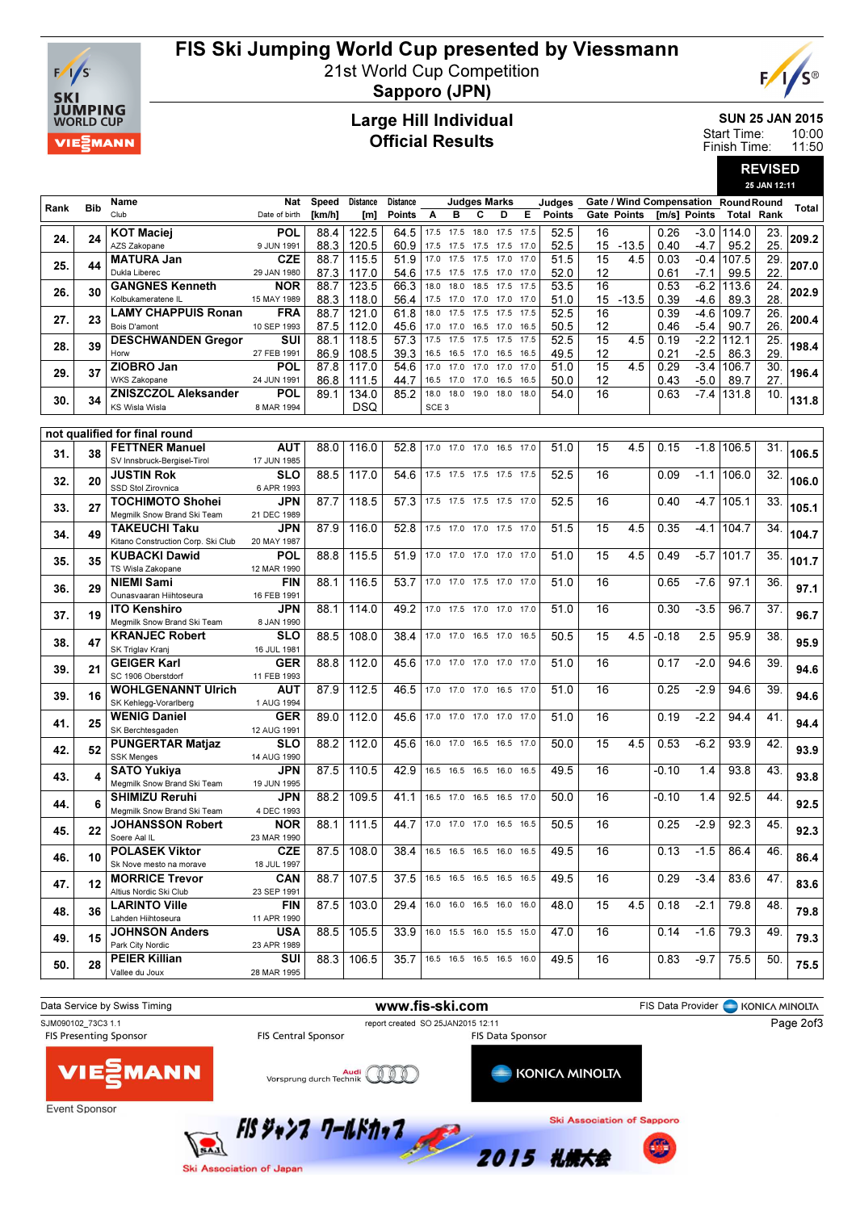

## FIS Ski Jumping World Cup presented by Viessmann

21st World Cup Competition



Sapporo (JPN)

#### Large Hill Individual Official Results

SUN 25 JAN 2015 10:00

REVISED

11:50 Start Time: Finish Time:

|      |            | 25 JAN 12:11                                               |                           |              |                 |                               |                  |                          |                     |              |              |               |          |             |              |                                     |                   |            |       |
|------|------------|------------------------------------------------------------|---------------------------|--------------|-----------------|-------------------------------|------------------|--------------------------|---------------------|--------------|--------------|---------------|----------|-------------|--------------|-------------------------------------|-------------------|------------|-------|
| Rank | <b>Bib</b> | Name                                                       | Nat                       | Speed        | <b>Distance</b> | <b>Distance</b>               |                  |                          | <b>Judges Marks</b> |              |              | Judges        |          |             |              | Gate / Wind Compensation RoundRound |                   |            | Total |
|      |            | Club                                                       | Date of birth             | [km/h]       | [m]             | <b>Points</b>                 | Α                | в                        | С                   | D            | Е            | <b>Points</b> |          | Gate Points |              | [m/s] Points                        | <b>Total Rank</b> |            |       |
| 24.  | 24         | <b>KOT Maciej</b>                                          | POL                       | 88.4         | 122.5           | 64.5                          |                  | 17.5 17.5 18.0 17.5 17.5 |                     |              |              | 52.5          | 16       |             | 0.26         |                                     | -3.0   114.0      | 23.        | 209.2 |
|      |            | AZS Zakopane                                               | 9 JUN 1991                | 88.3         | 120.5           | 60.9                          |                  | 17.5 17.5                | 17.5                | 17.5         | 17.0         | 52.5          | 15       | $-13.5$     | 0.40         | $-4.7$                              | 95.2              | 25.        |       |
| 25.  | 44         | <b>MATURA Jan</b><br>Dukla Liberec                         | <b>CZE</b><br>29 JAN 1980 | 88.7         | 115.5           | 51.9                          | 17.0             | 17.5                     | 17.5                | 17.0         | 17.0         | 51.5          | 15       | 4.5         | 0.03         | $-0.4$                              | 107.5             | 29         | 207.0 |
|      |            | <b>GANGNES Kenneth</b>                                     | <b>NOR</b>                | 87.3<br>88.7 | 117.0<br>123.5  | 54.6<br>66.3                  | 17.5<br>18.0     | 17.5<br>18.0             | 17.5<br>18.5        | 17.0<br>17.5 | 17.0<br>17.5 | 52.0<br>53.5  | 12<br>16 |             | 0.61<br>0.53 | $-7.1$<br>$-6.2$                    | 99.5<br>113.6     | 22<br>24.  |       |
| 26.  | 30         | Kolbukameratene IL                                         | 15 MAY 1989               | 88.3         | 118.0           | 56.4                          |                  | 17.5 17.0                | 17.0                | 17.0         | 17.0         | 51.0          |          | 15 - 13.5   | 0.39         | -4.6                                | 89.3              | 28.        | 202.9 |
|      |            | <b>LAMY CHAPPUIS Ronan</b>                                 | <b>FRA</b>                | 88.7         | 121.0           | 61.8                          | 18.0             | 17.5                     | 17.5                | 17.5         | 17.5         | 52.5          | 16       |             | 0.39         | -4.6                                | 109.7             | 26.        | 200.4 |
| 27.  | 23         | Bois D'amont                                               | 10 SEP 1993               | 87.5         | 112.0           | 45.6                          | 17.0             | 17.0                     | 16.5                | 17.0         | 16.5         | 50.5          | 12       |             | 0.46         | $-5.4$                              | 90.7              | 26         |       |
| 28.  | 39         | <b>DESCHWANDEN Gregor</b>                                  | SUI                       | 88.1         | 118.5           | 57.3                          | 17.5             | 17.5                     | 17.5                | 17.5         | 17.5         | 52.5          | 15       | 4.5         | 0.19         | $-2.2$                              | 112.1             | 25.        | 198.4 |
|      |            | Horw<br>ZIOBRO Jan                                         | 27 FEB 1991               | 86.9         | 108.5           | 39.3                          |                  | 16.5 16.5 17.0           |                     | 16.5 16.5    |              | 49.5          | 12       |             | 0.21         | $-2.5$                              | 86.3              | 29         |       |
| 29.  | 37         | <b>WKS Zakopane</b>                                        | POL<br>24 JUN 1991        | 87.8<br>86.8 | 117.0<br>111.5  | 54.6<br>44.7                  | 17.0             | 17.0<br>16.5 17.0        | 17.0<br>17.0        | 17.0<br>16.5 | 17.0<br>16.5 | 51.0<br>50.0  | 15<br>12 | 4.5         | 0.29<br>0.43 | $-3.4$<br>$-5.0$                    | 106.7<br>89.7     | 30.<br>27. | 196.4 |
|      |            | <b>ZNISZCZOL Aleksander</b>                                | POL                       | 89.1         | 134.0           | 85.2                          | 18.0             | 18.0                     | 19.0                | 18.0         | 18.0         | 54.0          | 16       |             | 0.63         | $-7.4$                              | 131.8             | 10.        |       |
| 30.  | 34         | <b>KS Wisla Wisla</b>                                      | 8 MAR 1994                |              | <b>DSQ</b>      |                               | SCE <sub>3</sub> |                          |                     |              |              |               |          |             |              |                                     |                   |            | 131.8 |
|      |            |                                                            |                           |              |                 |                               |                  |                          |                     |              |              |               |          |             |              |                                     |                   |            |       |
|      |            | not qualified for final round                              |                           |              |                 |                               |                  |                          |                     |              |              |               |          |             |              |                                     |                   |            |       |
| 31.  | 38         | <b>FETTNER Manuel</b><br>SV Innsbruck-Bergisel-Tirol       | AUT<br>17 JUN 1985        | 88.0         | 116.0           | 52.8                          |                  | 17.0 17.0 17.0 16.5 17.0 |                     |              |              | 51.0          | 15       | 4.5         | 0.15         | $-1.8$                              | 106.5             | 31.        | 106.5 |
|      |            | <b>JUSTIN Rok</b>                                          | SLO                       | 88.5         | 117.0           | 54.6                          |                  | 17.5 17.5 17.5 17.5 17.5 |                     |              |              | 52.5          | 16       |             | 0.09         | $-1.1$                              | 106.0             | 32.        |       |
| 32.  | 20         | SSD Stol Zirovnica                                         | 6 APR 1993                |              |                 |                               |                  |                          |                     |              |              |               |          |             |              |                                     |                   |            | 106.0 |
| 33.  | 27         | <b>TOCHIMOTO Shohei</b>                                    | JPN                       | 87.7         | 118.5           | 57.3                          |                  | 17.5 17.5 17.5 17.5 17.0 |                     |              |              | 52.5          | 16       |             | 0.40         | -4.7                                | 105.1             | 33.        | 105.1 |
|      |            | Megmilk Snow Brand Ski Team                                | 21 DEC 1989               |              |                 |                               |                  |                          |                     |              |              |               |          |             |              |                                     |                   |            |       |
| 34.  | 49         | <b>TAKEUCHI Taku</b>                                       | JPN                       | 87.9         | 116.0           | 52.8                          |                  | 17.5 17.0 17.0 17.5 17.0 |                     |              |              | 51.5          | 15       | 4.5         | 0.35         | $-4.1$                              | 104.7             | 34.        | 104.7 |
|      |            | Kitano Construction Corp. Ski Club<br><b>KUBACKI Dawid</b> | 20 MAY 1987<br>POL        | 88.8         | 115.5           | 51.9                          |                  | 17.0 17.0 17.0 17.0 17.0 |                     |              |              | 51.0          | 15       | 4.5         | 0.49         | $-5.7$                              | 101.7             | 35.        |       |
| 35.  | 35         | TS Wisla Zakopane                                          | 12 MAR 1990               |              |                 |                               |                  |                          |                     |              |              |               |          |             |              |                                     |                   |            | 101.7 |
| 36.  | 29         | <b>NIEMI Sami</b>                                          | <b>FIN</b>                | 88.1         | 116.5           | 53.7                          |                  | 17.0 17.0 17.5 17.0 17.0 |                     |              |              | 51.0          | 16       |             | 0.65         | $-7.6$                              | 97.1              | 36.        | 97.1  |
|      |            | Ounasvaaran Hiihtoseura                                    | 16 FEB 1991               |              |                 |                               |                  |                          |                     |              |              |               |          |             |              |                                     |                   |            |       |
| 37.  | 19         | <b>ITO Kenshiro</b>                                        | <b>JPN</b>                | 88.1         | 114.0           | 49.2                          |                  | 17.0 17.5 17.0 17.0 17.0 |                     |              |              | 51.0          | 16       |             | 0.30         | $-3.5$                              | 96.7              | 37.        | 96.7  |
|      |            | Megmilk Snow Brand Ski Team<br><b>KRANJEC Robert</b>       | 8 JAN 1990<br>SLO         | 88.5         | 108.0           | 38.4                          |                  | 17.0 17.0 16.5 17.0      |                     |              | 16.5         | 50.5          | 15       | 4.5         | $-0.18$      | 2.5                                 | 95.9              | 38         |       |
| 38.  | 47         | SK Triglav Kranj                                           | 16 JUL 1981               |              |                 |                               |                  |                          |                     |              |              |               |          |             |              |                                     |                   |            | 95.9  |
| 39.  | 21         | <b>GEIGER Karl</b>                                         | <b>GER</b>                | 88.8         | 112.0           | 45.6                          |                  | 17.0 17.0 17.0 17.0 17.0 |                     |              |              | 51.0          | 16       |             | 0.17         | $-2.0$                              | 94.6              | 39.        | 94.6  |
|      |            | SC 1906 Oberstdorf                                         | 11 FEB 1993               |              |                 |                               |                  |                          |                     |              |              |               |          |             |              |                                     |                   |            |       |
| 39.  | 16         | <b>WOHLGENANNT Ulrich</b>                                  | AUT                       | 87.9         | 112.5           | 46.5                          |                  | 17.0 17.0 17.0 16.5 17.0 |                     |              |              | 51.0          | 16       |             | 0.25         | $-2.9$                              | 94.6              | 39         | 94.6  |
|      |            | SK Kehlegg-Vorarlberg<br><b>WENIG Daniel</b>               | 1 AUG 1994<br><b>GER</b>  | 89.0         | 112.0           | 45.6                          |                  | 17.0 17.0 17.0 17.0 17.0 |                     |              |              | 51.0          | 16       |             | 0.19         | $-2.2$                              | 94.4              | 41.        |       |
| 41.  | 25         | SK Berchtesgaden                                           | 12 AUG 1991               |              |                 |                               |                  |                          |                     |              |              |               |          |             |              |                                     |                   |            | 94.4  |
|      | 52         | <b>PUNGERTAR Matjaz</b>                                    | <b>SLO</b>                | 88.2         | 112.0           | 45.6                          |                  | 16.0 17.0 16.5 16.5 17.0 |                     |              |              | 50.0          | 15       | 4.5         | 0.53         | $-6.2$                              | 93.9              | 42         | 93.9  |
| 42.  |            | <b>SSK Menges</b>                                          | 14 AUG 1990               |              |                 |                               |                  |                          |                     |              |              |               |          |             |              |                                     |                   |            |       |
| 43.  | 4          | <b>SATO Yukiya</b>                                         | <b>JPN</b>                | 87.5         | 110.5           | 42.9                          |                  | 16.5 16.5 16.5 16.0 16.5 |                     |              |              | 49.5          | 16       |             | -0.10        | 1.4                                 | 93.8              | 43.        | 93.8  |
|      |            | Megmilk Snow Brand Ski Team<br><b>SHIMIZU Reruhi</b>       | 19 JUN 1995<br>JPN        | 88.2         | 109.5           | 41.1                          |                  | 16.5 17.0                | 16.5 16.5 17.0      |              |              | 50.0          | 16       |             | -0.10        | 1.4                                 | 92.5              | 44.        |       |
| 44.  |            | Megmilk Snow Brand Ski Team                                | 4 DEC 1993                |              |                 |                               |                  |                          |                     |              |              |               |          |             |              |                                     |                   |            | 92.5  |
|      |            | <b>JOHANSSON Robert</b>                                    | <b>NOR</b>                |              | $88.1$   111.5  | 44.7 17.0 17.0 17.0 16.5 16.5 |                  |                          |                     |              |              | 50.5          | 16       |             | 0.25         | $-2.9$                              | 92.3              | 45         |       |
| 45.  | 22         | Soere Aal IL                                               | 23 MAR 1990               |              |                 |                               |                  |                          |                     |              |              |               |          |             |              |                                     |                   |            | 92.3  |
| 46.  | 10         | <b>POLASEK Viktor</b>                                      | <b>CZE</b>                | 87.5         | 108.0           | 38.4                          |                  | 16.5 16.5 16.5 16.0 16.5 |                     |              |              | 49.5          | 16       |             | 0.13         | $-1.5$                              | 86.4              | 46.        | 86.4  |
|      |            | Sk Nove mesto na morave                                    | 18 JUL 1997               |              |                 |                               |                  |                          |                     |              |              |               |          |             |              |                                     |                   |            |       |
| 47.  | 12         | <b>MORRICE Trevor</b><br>Altius Nordic Ski Club            | CAN<br>23 SEP 1991        | 88.7         | 107.5           | 37.5                          |                  | 16.5 16.5 16.5 16.5 16.5 |                     |              |              | 49.5          | 16       |             | 0.29         | $-3.4$                              | 83.6              | 47.        | 83.6  |
|      |            | <b>LARINTO Ville</b>                                       | <b>FIN</b>                | 87.5         | 103.0           | 29.4                          |                  | 16.0 16.0 16.5 16.0 16.0 |                     |              |              | 48.0          | 15       | 4.5         | 0.18         | $-2.1$                              | 79.8              | 48.        |       |
| 48.  | 36         | Lahden Hiihtoseura                                         | 11 APR 1990               |              |                 |                               |                  |                          |                     |              |              |               |          |             |              |                                     |                   |            | 79.8  |
| 49.  | 15         | <b>JOHNSON Anders</b>                                      | <b>USA</b>                | 88.5         | 105.5           | 33.9                          |                  | 16.0 15.5 16.0 15.5 15.0 |                     |              |              | 47.0          | 16       |             | 0.14         | $-1.6$                              | 79.3              | 49.        | 79.3  |
|      |            | Park City Nordic                                           | 23 APR 1989               |              |                 |                               |                  |                          |                     |              |              |               |          |             |              |                                     |                   |            |       |
| 50.  | 28         | <b>PEIER Killian</b><br>Vallee du Joux                     | SUI                       | 88.3         | 106.5           | 35.7                          |                  | 16.5 16.5 16.5 16.5 16.0 |                     |              |              | 49.5          | 16       |             | 0.83         | $-9.7$                              | 75.5              | 50.        | 75.5  |
|      |            |                                                            | 28 MAR 1995               |              |                 |                               |                  |                          |                     |              |              |               |          |             |              |                                     |                   |            |       |